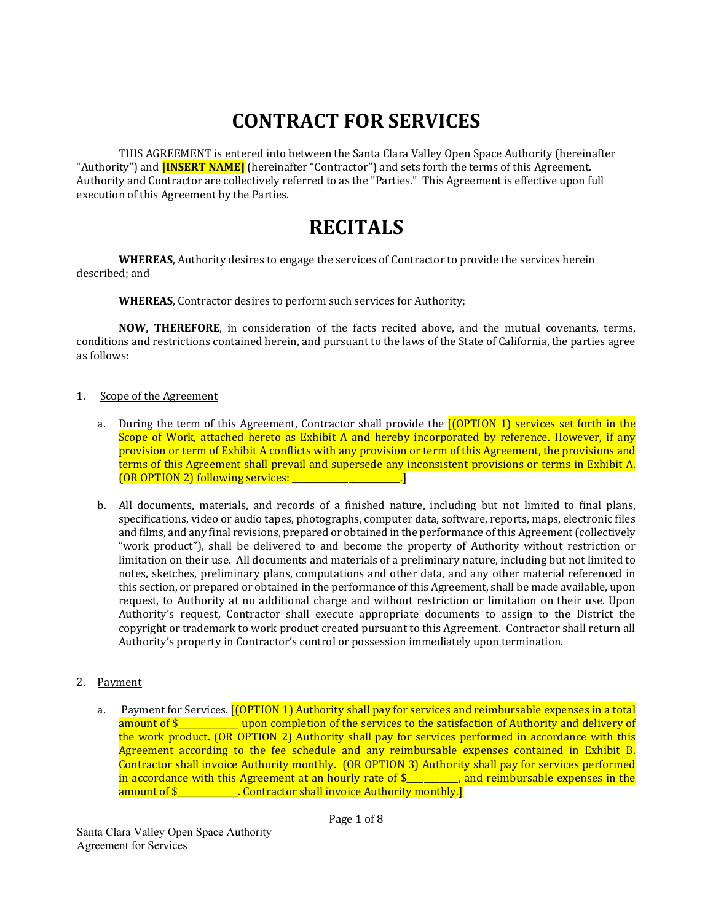# **CONTRACT FOR SERVICES**

THIS AGREEMENT is entered into between the Santa Clara Valley Open Space Authority (hereinafter "Authority") and **[INSERT NAME]** (hereinafter "Contractor") and sets forth the terms of this Agreement. Authority and Contractor are collectively referred to as the "Parties." This Agreement is effective upon full execution of this Agreement by the Parties.

# **RECITALS**

**WHEREAS**, Authority desires to engage the services of Contractor to provide the services herein described: and

**WHEREAS**, Contractor desires to perform such services for Authority;

**NOW, THEREFORE**, in consideration of the facts recited above, and the mutual covenants, terms, conditions and restrictions contained herein, and pursuant to the laws of the State of California, the parties agree as follows:

#### 1. Scope of the Agreement

- a. During the term of this Agreement, Contractor shall provide the  $[(OPTION 1)$  services set forth in the Scope of Work, attached hereto as Exhibit A and hereby incorporated by reference. However, if any provision or term of Exhibit A conflicts with any provision or term of this Agreement, the provisions and terms of this Agreement shall prevail and supersede any inconsistent provisions or terms in Exhibit A. (OR OPTION 2) following services: \_\_\_\_\_\_\_\_\_\_\_\_\_\_
- b. All documents, materials, and records of a finished nature, including but not limited to final plans, specifications, video or audio tapes, photographs, computer data, software, reports, maps, electronic files and films, and any final revisions, prepared or obtained in the performance of this Agreement (collectively "work product"), shall be delivered to and become the property of Authority without restriction or limitation on their use. All documents and materials of a preliminary nature, including but not limited to notes, sketches, preliminary plans, computations and other data, and any other material referenced in this section, or prepared or obtained in the performance of this Agreement, shall be made available, upon request, to Authority at no additional charge and without restriction or limitation on their use. Upon Authority's request, Contractor shall execute appropriate documents to assign to the District the copyright or trademark to work product created pursuant to this Agreement. Contractor shall return all Authority's property in Contractor's control or possession immediately upon termination.

# 2. Payment

a. Payment for Services. **[(OPTION 1) Authority shall pay for services and reimbursable expenses in a total** amount of  $\frac{1}{2}$  \_\_\_\_\_\_\_\_\_\_\_\_\_\_ upon completion of the services to the satisfaction of Authority and delivery of the work product.  $(OR$  OPTION 2) Authority shall pay for services performed in accordance with this Agreement according to the fee schedule and any reimbursable expenses contained in Exhibit B. Contractor shall invoice Authority monthly. (OR OPTION 3) Authority shall pay for services performed in accordance with this Agreement at an hourly rate of  $\frac{1}{2}$  and reimbursable expenses in the amount of \$ \_\_\_\_\_\_\_\_\_\_\_. Contractor shall invoice Authority monthly.]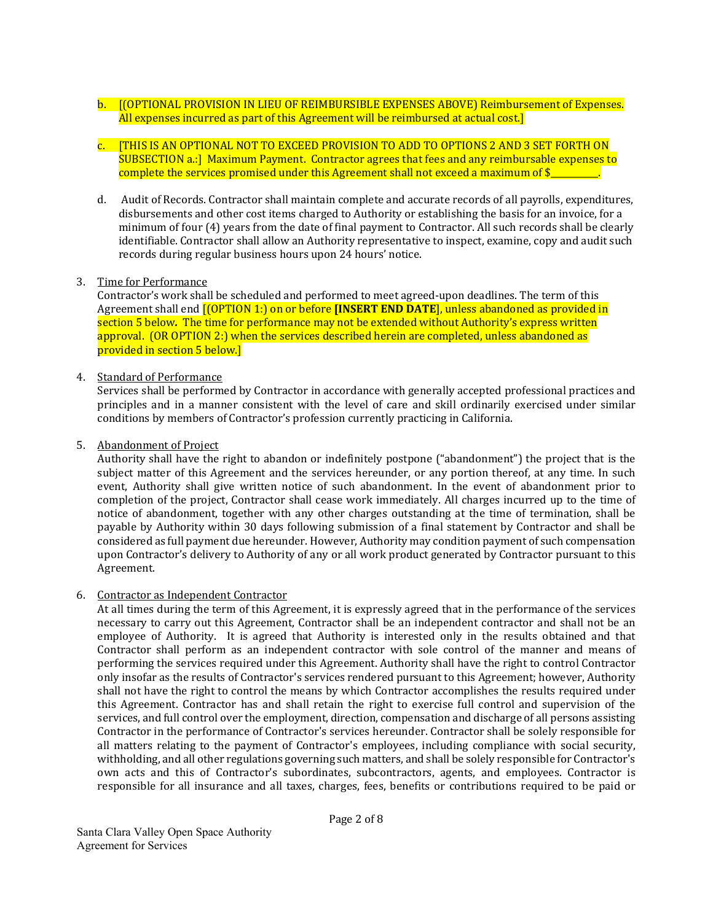- b. [[OPTIONAL PROVISION IN LIEU OF REIMBURSIBLE EXPENSES ABOVE] Reimbursement of Expenses. All expenses incurred as part of this Agreement will be reimbursed at actual cost.]
- c. [THIS IS AN OPTIONAL NOT TO EXCEED PROVISION TO ADD TO OPTIONS 2 AND 3 SET FORTH ON SUBSECTION a.: | Maximum Payment. Contractor agrees that fees and any reimbursable expenses to complete the services promised under this Agreement shall not exceed a maximum of  $\frac{1}{2}$
- d. Audit of Records. Contractor shall maintain complete and accurate records of all payrolls, expenditures, disbursements and other cost items charged to Authority or establishing the basis for an invoice, for a minimum of four  $(4)$  years from the date of final payment to Contractor. All such records shall be clearly identifiable. Contractor shall allow an Authority representative to inspect, examine, copy and audit such records during regular business hours upon 24 hours' notice.

# 3. Time for Performance

Contractor's work shall be scheduled and performed to meet agreed-upon deadlines. The term of this Agreement shall end **[(OPTION 1:)** on or before **[INSERT END DATE**], unless abandoned as provided in section 5 below. The time for performance may not be extended without Authority's express written approval.  $(OR \text{OPTION 2:})$  when the services described herein are completed, unless abandoned as provided in section 5 below.]

# 4. Standard of Performance

Services shall be performed by Contractor in accordance with generally accepted professional practices and principles and in a manner consistent with the level of care and skill ordinarily exercised under similar conditions by members of Contractor's profession currently practicing in California.

## 5. Abandonment of Project

Authority shall have the right to abandon or indefinitely postpone ("abandonment") the project that is the subject matter of this Agreement and the services hereunder, or any portion thereof, at any time. In such event, Authority shall give written notice of such abandonment. In the event of abandonment prior to completion of the project, Contractor shall cease work immediately. All charges incurred up to the time of notice of abandonment, together with any other charges outstanding at the time of termination, shall be payable by Authority within 30 days following submission of a final statement by Contractor and shall be considered as full payment due hereunder. However, Authority may condition payment of such compensation upon Contractor's delivery to Authority of any or all work product generated by Contractor pursuant to this Agreement. 

# 6. Contractor as Independent Contractor

At all times during the term of this Agreement, it is expressly agreed that in the performance of the services necessary to carry out this Agreement, Contractor shall be an independent contractor and shall not be an employee of Authority. It is agreed that Authority is interested only in the results obtained and that Contractor shall perform as an independent contractor with sole control of the manner and means of performing the services required under this Agreement. Authority shall have the right to control Contractor only insofar as the results of Contractor's services rendered pursuant to this Agreement; however, Authority shall not have the right to control the means by which Contractor accomplishes the results required under this Agreement. Contractor has and shall retain the right to exercise full control and supervision of the services, and full control over the employment, direction, compensation and discharge of all persons assisting Contractor in the performance of Contractor's services hereunder. Contractor shall be solely responsible for all matters relating to the payment of Contractor's employees, including compliance with social security, withholding, and all other regulations governing such matters, and shall be solely responsible for Contractor's own acts and this of Contractor's subordinates, subcontractors, agents, and employees. Contractor is responsible for all insurance and all taxes, charges, fees, benefits or contributions required to be paid or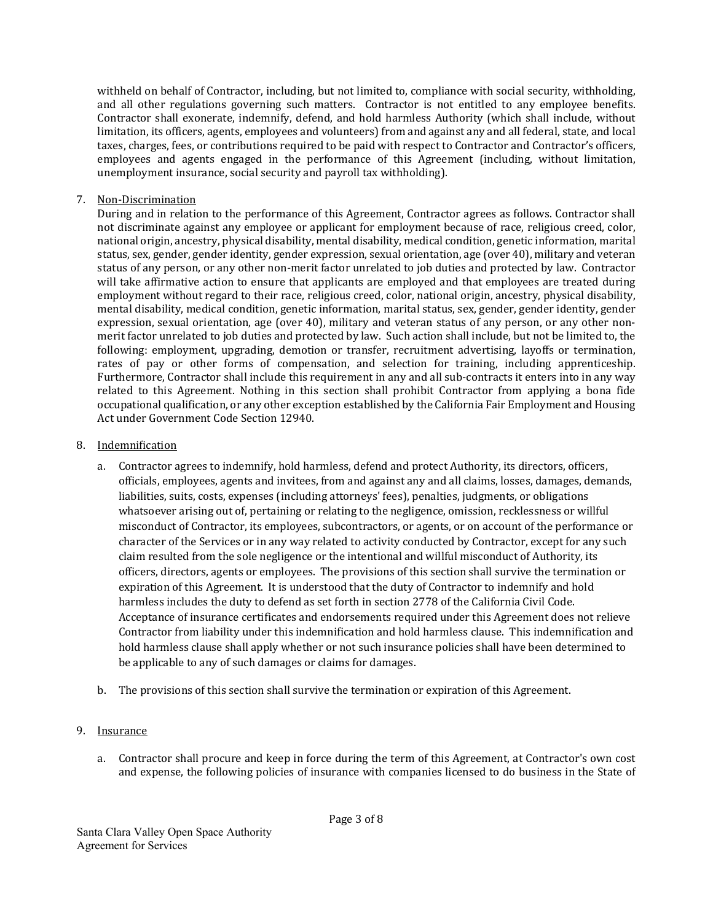withheld on behalf of Contractor, including, but not limited to, compliance with social security, withholding, and all other regulations governing such matters. Contractor is not entitled to any employee benefits. Contractor shall exonerate, indemnify, defend, and hold harmless Authority (which shall include, without limitation, its officers, agents, employees and volunteers) from and against any and all federal, state, and local taxes, charges, fees, or contributions required to be paid with respect to Contractor and Contractor's officers, employees and agents engaged in the performance of this Agreement (including, without limitation, unemployment insurance, social security and payroll tax withholding).

# 7. Non‐Discrimination

During and in relation to the performance of this Agreement, Contractor agrees as follows. Contractor shall not discriminate against any employee or applicant for employment because of race, religious creed, color, national origin, ancestry, physical disability, mental disability, medical condition, genetic information, marital status, sex, gender, gender identity, gender expression, sexual orientation, age (over 40), military and veteran status of any person, or any other non-merit factor unrelated to job duties and protected by law. Contractor will take affirmative action to ensure that applicants are employed and that employees are treated during employment without regard to their race, religious creed, color, national origin, ancestry, physical disability, mental disability, medical condition, genetic information, marital status, sex, gender, gender identity, gender expression, sexual orientation, age (over 40), military and veteran status of any person, or any other nonmerit factor unrelated to job duties and protected by law. Such action shall include, but not be limited to, the following: employment, upgrading, demotion or transfer, recruitment advertising, layoffs or termination, rates of pay or other forms of compensation, and selection for training, including apprenticeship. Furthermore, Contractor shall include this requirement in any and all sub-contracts it enters into in any way related to this Agreement. Nothing in this section shall prohibit Contractor from applying a bona fide occupational qualification, or any other exception established by the California Fair Employment and Housing Act under Government Code Section 12940.

## 8. Indemnification

- a. Contractor agrees to indemnify, hold harmless, defend and protect Authority, its directors, officers, officials, employees, agents and invitees, from and against any and all claims, losses, damages, demands, liabilities, suits, costs, expenses (including attorneys' fees), penalties, judgments, or obligations whatsoever arising out of, pertaining or relating to the negligence, omission, recklessness or willful misconduct of Contractor, its employees, subcontractors, or agents, or on account of the performance or character of the Services or in any way related to activity conducted by Contractor, except for any such claim resulted from the sole negligence or the intentional and willful misconduct of Authority, its officers, directors, agents or employees. The provisions of this section shall survive the termination or expiration of this Agreement. It is understood that the duty of Contractor to indemnify and hold harmless includes the duty to defend as set forth in section 2778 of the California Civil Code. Acceptance of insurance certificates and endorsements required under this Agreement does not relieve Contractor from liability under this indemnification and hold harmless clause. This indemnification and hold harmless clause shall apply whether or not such insurance policies shall have been determined to be applicable to any of such damages or claims for damages.
- b. The provisions of this section shall survive the termination or expiration of this Agreement.

# 9. Insurance

a. Contractor shall procure and keep in force during the term of this Agreement, at Contractor's own cost and expense, the following policies of insurance with companies licensed to do business in the State of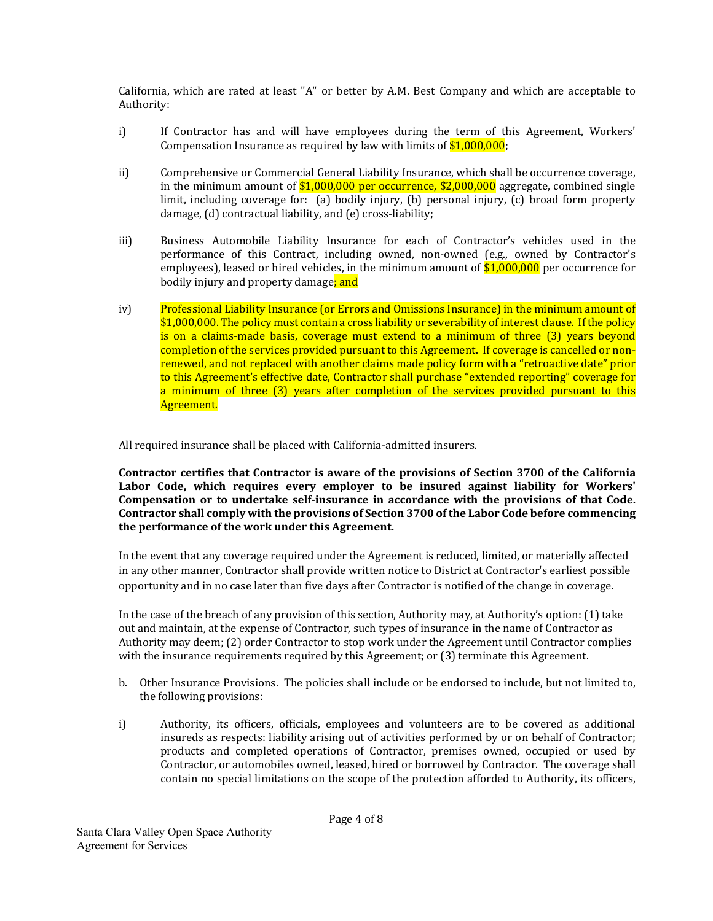California, which are rated at least "A" or better by A.M. Best Company and which are acceptable to Authority: 

- i) If Contractor has and will have employees during the term of this Agreement, Workers' Compensation Insurance as required by law with limits of  $$1,000,000;$
- ii) Comprehensive or Commercial General Liability Insurance, which shall be occurrence coverage, in the minimum amount of  $$1,000,000$  per occurrence,  $$2,000,000$  aggregate, combined single limit, including coverage for: (a) bodily injury, (b) personal injury, (c) broad form property  $d$ amage,  $(d)$  contractual liability, and  $(e)$  cross-liability;
- iii) Business Automobile Liability Insurance for each of Contractor's vehicles used in the performance of this Contract, including owned, non-owned (e.g., owned by Contractor's employees), leased or hired vehicles, in the minimum amount of  $$1,000,000$  per occurrence for bodily injury and property damage; and
- iv) Professional Liability Insurance (or Errors and Omissions Insurance) in the minimum amount of  $$1,000,000$ . The policy must contain a cross liability or severability of interest clause. If the policy is on a claims-made basis, coverage must extend to a minimum of three (3) years beyond completion of the services provided pursuant to this Agreement. If coverage is cancelled or nonrenewed, and not replaced with another claims made policy form with a "retroactive date" prior to this Agreement's effective date, Contractor shall purchase "extended reporting" coverage for a minimum of three (3) years after completion of the services provided pursuant to this Agreement.

All required insurance shall be placed with California-admitted insurers.

**Contractor certifies that Contractor is aware of the provisions of Section 3700 of the California Labor Code, which requires every employer to be insured against liability for Workers' Compensation or to undertake self‐insurance in accordance with the provisions of that Code. Contractor shall comply with the provisions of Section 3700 of the Labor Code before commencing the performance of the work under this Agreement.** 

In the event that any coverage required under the Agreement is reduced, limited, or materially affected in any other manner, Contractor shall provide written notice to District at Contractor's earliest possible opportunity and in no case later than five days after Contractor is notified of the change in coverage.

In the case of the breach of any provision of this section, Authority may, at Authority's option: (1) take out and maintain, at the expense of Contractor, such types of insurance in the name of Contractor as Authority may deem; (2) order Contractor to stop work under the Agreement until Contractor complies with the insurance requirements required by this Agreement; or  $(3)$  terminate this Agreement.

- b. Other Insurance Provisions. The policies shall include or be endorsed to include, but not limited to, the following provisions:
- i) Authority, its officers, officials, employees and volunteers are to be covered as additional insureds as respects: liability arising out of activities performed by or on behalf of Contractor; products and completed operations of Contractor, premises owned, occupied or used by Contractor, or automobiles owned, leased, hired or borrowed by Contractor. The coverage shall contain no special limitations on the scope of the protection afforded to Authority, its officers,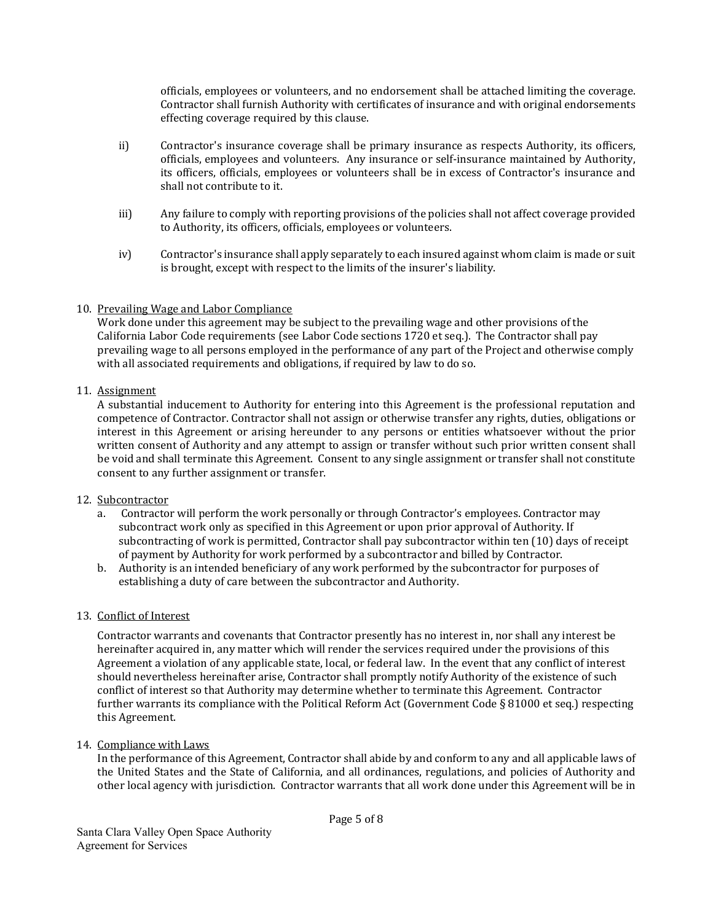officials, employees or volunteers, and no endorsement shall be attached limiting the coverage. Contractor shall furnish Authority with certificates of insurance and with original endorsements effecting coverage required by this clause.

- ii) Contractor's insurance coverage shall be primary insurance as respects Authority, its officers, officials, employees and volunteers. Any insurance or self-insurance maintained by Authority, its officers, officials, employees or volunteers shall be in excess of Contractor's insurance and shall not contribute to it.
- iii) Any failure to comply with reporting provisions of the policies shall not affect coverage provided to Authority, its officers, officials, employees or volunteers.
- iv) Contractor's insurance shall apply separately to each insured against whom claim is made or suit is brought, except with respect to the limits of the insurer's liability.

## 10. Prevailing Wage and Labor Compliance

Work done under this agreement may be subject to the prevailing wage and other provisions of the California Labor Code requirements (see Labor Code sections 1720 et seq.). The Contractor shall pay prevailing wage to all persons employed in the performance of any part of the Project and otherwise comply with all associated requirements and obligations, if required by law to do so.

## 11. Assignment

A substantial inducement to Authority for entering into this Agreement is the professional reputation and competence of Contractor. Contractor shall not assign or otherwise transfer any rights, duties, obligations or interest in this Agreement or arising hereunder to any persons or entities whatsoever without the prior written consent of Authority and any attempt to assign or transfer without such prior written consent shall be void and shall terminate this Agreement. Consent to any single assignment or transfer shall not constitute consent to any further assignment or transfer.

#### 12. Subcontractor

- a. Contractor will perform the work personally or through Contractor's employees. Contractor may subcontract work only as specified in this Agreement or upon prior approval of Authority. If subcontracting of work is permitted, Contractor shall pay subcontractor within ten (10) days of receipt of payment by Authority for work performed by a subcontractor and billed by Contractor.
- b. Authority is an intended beneficiary of any work performed by the subcontractor for purposes of establishing a duty of care between the subcontractor and Authority.

#### 13. Conflict of Interest

Contractor warrants and covenants that Contractor presently has no interest in, nor shall any interest be hereinafter acquired in, any matter which will render the services required under the provisions of this Agreement a violation of any applicable state, local, or federal law. In the event that any conflict of interest should nevertheless hereinafter arise, Contractor shall promptly notify Authority of the existence of such conflict of interest so that Authority may determine whether to terminate this Agreement. Contractor further warrants its compliance with the Political Reform Act (Government Code § 81000 et seq.) respecting this Agreement.

14. Compliance with Laws

In the performance of this Agreement, Contractor shall abide by and conform to any and all applicable laws of the United States and the State of California, and all ordinances, regulations, and policies of Authority and other local agency with jurisdiction. Contractor warrants that all work done under this Agreement will be in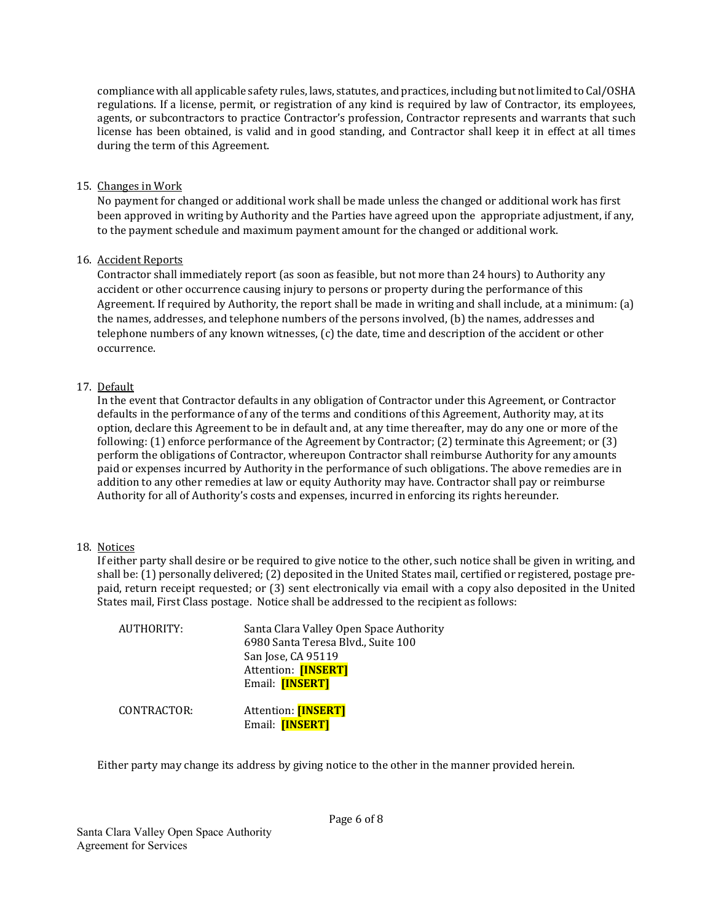compliance with all applicable safety rules, laws, statutes, and practices, including but not limited to Cal/OSHA regulations. If a license, permit, or registration of any kind is required by law of Contractor, its employees, agents, or subcontractors to practice Contractor's profession, Contractor represents and warrants that such license has been obtained, is valid and in good standing, and Contractor shall keep it in effect at all times during the term of this Agreement.

## 15. Changes in Work

No payment for changed or additional work shall be made unless the changed or additional work has first been approved in writing by Authority and the Parties have agreed upon the appropriate adjustment, if any, to the payment schedule and maximum payment amount for the changed or additional work.

## 16. Accident Reports

Contractor shall immediately report (as soon as feasible, but not more than 24 hours) to Authority any accident or other occurrence causing injury to persons or property during the performance of this Agreement. If required by Authority, the report shall be made in writing and shall include, at a minimum:  $(a)$ the names, addresses, and telephone numbers of the persons involved, (b) the names, addresses and telephone numbers of any known witnesses, (c) the date, time and description of the accident or other occurrence. 

# 17. Default

In the event that Contractor defaults in any obligation of Contractor under this Agreement, or Contractor defaults in the performance of any of the terms and conditions of this Agreement, Authority may, at its option, declare this Agreement to be in default and, at any time thereafter, may do any one or more of the following:  $(1)$  enforce performance of the Agreement by Contractor;  $(2)$  terminate this Agreement; or  $(3)$ perform the obligations of Contractor, whereupon Contractor shall reimburse Authority for any amounts paid or expenses incurred by Authority in the performance of such obligations. The above remedies are in addition to any other remedies at law or equity Authority may have. Contractor shall pay or reimburse Authority for all of Authority's costs and expenses, incurred in enforcing its rights hereunder.

#### 18. Notices

If either party shall desire or be required to give notice to the other, such notice shall be given in writing, and shall be: (1) personally delivered; (2) deposited in the United States mail, certified or registered, postage prepaid, return receipt requested; or (3) sent electronically via email with a copy also deposited in the United States mail, First Class postage. Notice shall be addressed to the recipient as follows:

| AUTHORITY:  | Santa Clara Valley Open Space Authority<br>6980 Santa Teresa Blvd., Suite 100<br>San Jose, CA 95119<br>Attention: [INSERT]<br>Email: <b>[INSERT]</b> |
|-------------|------------------------------------------------------------------------------------------------------------------------------------------------------|
| CONTRACTOR: | Attention: [INSERT]<br>Email: [INSERT]                                                                                                               |

Either party may change its address by giving notice to the other in the manner provided herein.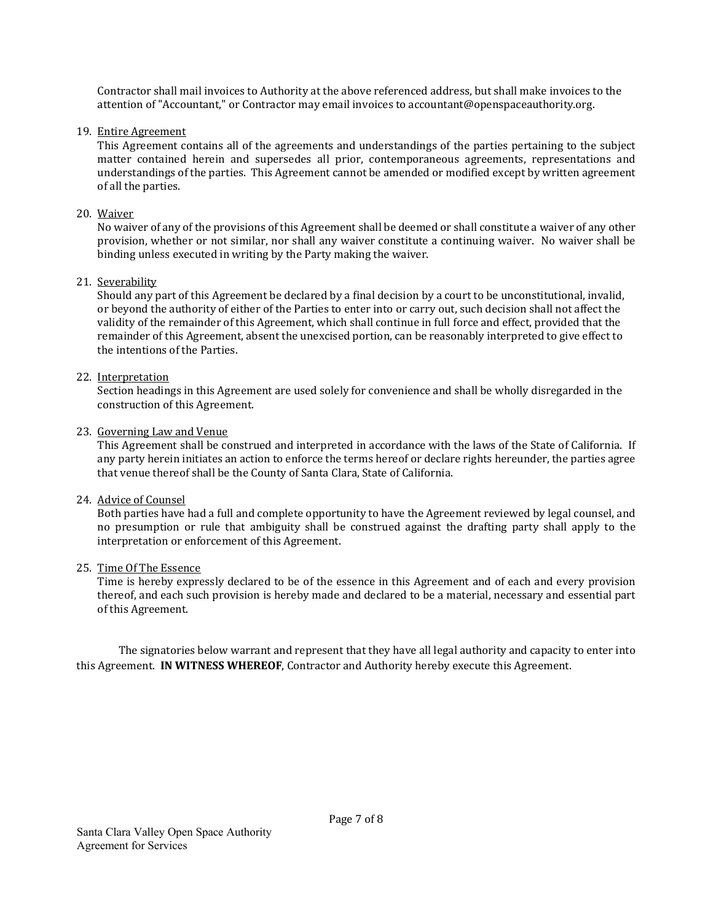Contractor shall mail invoices to Authority at the above referenced address, but shall make invoices to the attention of "Accountant," or Contractor may email invoices to accountant@openspaceauthority.org.

## 19. Entire Agreement

This Agreement contains all of the agreements and understandings of the parties pertaining to the subject matter contained herein and supersedes all prior, contemporaneous agreements, representations and understandings of the parties. This Agreement cannot be amended or modified except by written agreement of all the parties.

## 20. Waiver

No waiver of any of the provisions of this Agreement shall be deemed or shall constitute a waiver of any other provision, whether or not similar, nor shall any waiver constitute a continuing waiver. No waiver shall be binding unless executed in writing by the Party making the waiver.

## 21. Severability

Should any part of this Agreement be declared by a final decision by a court to be unconstitutional, invalid, or beyond the authority of either of the Parties to enter into or carry out, such decision shall not affect the validity of the remainder of this Agreement, which shall continue in full force and effect, provided that the remainder of this Agreement, absent the unexcised portion, can be reasonably interpreted to give effect to the intentions of the Parties.

## 22. Interpretation

Section headings in this Agreement are used solely for convenience and shall be wholly disregarded in the construction of this Agreement.

## 23. Governing Law and Venue

This Agreement shall be construed and interpreted in accordance with the laws of the State of California. If any party herein initiates an action to enforce the terms hereof or declare rights hereunder, the parties agree that venue thereof shall be the County of Santa Clara, State of California.

# 24. Advice of Counsel

Both parties have had a full and complete opportunity to have the Agreement reviewed by legal counsel, and no presumption or rule that ambiguity shall be construed against the drafting party shall apply to the interpretation or enforcement of this Agreement.

#### 25. Time Of The Essence

Time is hereby expressly declared to be of the essence in this Agreement and of each and every provision thereof, and each such provision is hereby made and declared to be a material, necessary and essential part of this Agreement.

The signatories below warrant and represent that they have all legal authority and capacity to enter into this Agreement. **IN WITNESS WHEREOF**, Contractor and Authority hereby execute this Agreement.